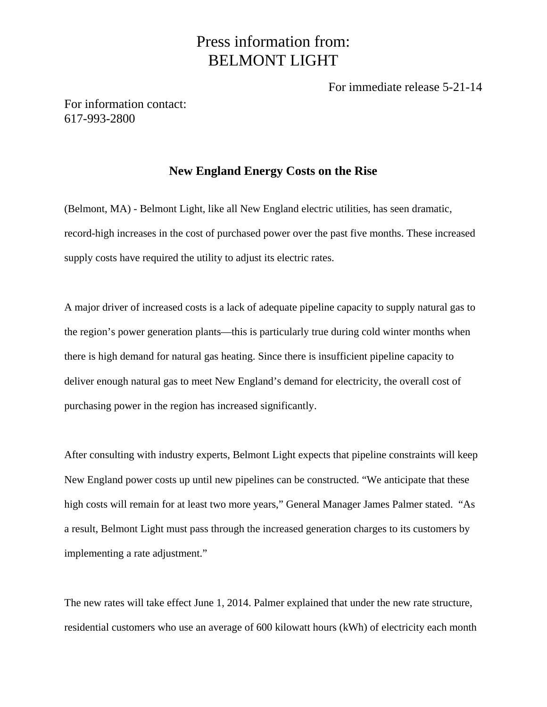## Press information from: BELMONT LIGHT

For immediate release 5-21-14

For information contact: 617-993-2800

## **New England Energy Costs on the Rise**

(Belmont, MA) - Belmont Light, like all New England electric utilities, has seen dramatic, record-high increases in the cost of purchased power over the past five months. These increased supply costs have required the utility to adjust its electric rates.

A major driver of increased costs is a lack of adequate pipeline capacity to supply natural gas to the region's power generation plants—this is particularly true during cold winter months when there is high demand for natural gas heating. Since there is insufficient pipeline capacity to deliver enough natural gas to meet New England's demand for electricity, the overall cost of purchasing power in the region has increased significantly.

After consulting with industry experts, Belmont Light expects that pipeline constraints will keep New England power costs up until new pipelines can be constructed. "We anticipate that these high costs will remain for at least two more years," General Manager James Palmer stated. "As a result, Belmont Light must pass through the increased generation charges to its customers by implementing a rate adjustment."

The new rates will take effect June 1, 2014. Palmer explained that under the new rate structure, residential customers who use an average of 600 kilowatt hours (kWh) of electricity each month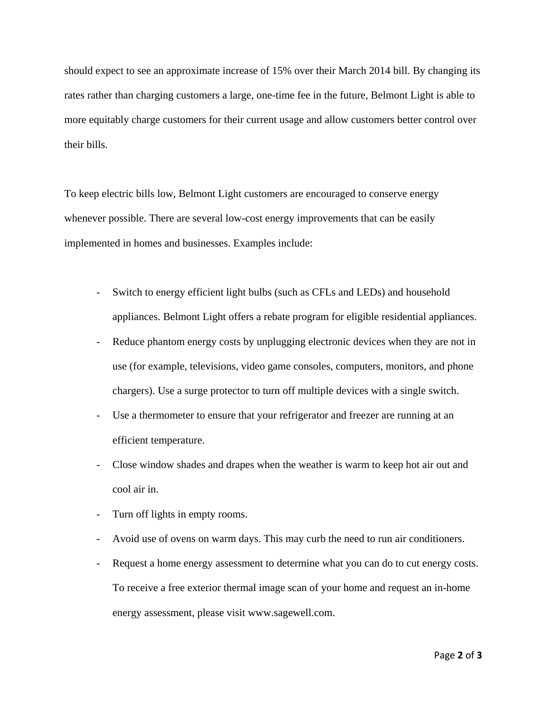should expect to see an approximate increase of 15% over their March 2014 bill. By changing its rates rather than charging customers a large, one-time fee in the future, Belmont Light is able to more equitably charge customers for their current usage and allow customers better control over their bills.

To keep electric bills low, Belmont Light customers are encouraged to conserve energy whenever possible. There are several low-cost energy improvements that can be easily implemented in homes and businesses. Examples include:

- Switch to energy efficient light bulbs (such as CFLs and LEDs) and household appliances. Belmont Light offers a rebate program for eligible residential appliances.
- Reduce phantom energy costs by unplugging electronic devices when they are not in use (for example, televisions, video game consoles, computers, monitors, and phone chargers). Use a surge protector to turn off multiple devices with a single switch.
- Use a thermometer to ensure that your refrigerator and freezer are running at an efficient temperature.
- Close window shades and drapes when the weather is warm to keep hot air out and cool air in.
- Turn off lights in empty rooms.
- Avoid use of ovens on warm days. This may curb the need to run air conditioners.
- Request a home energy assessment to determine what you can do to cut energy costs. To receive a free exterior thermal image scan of your home and request an in-home energy assessment, please visit www.sagewell.com.